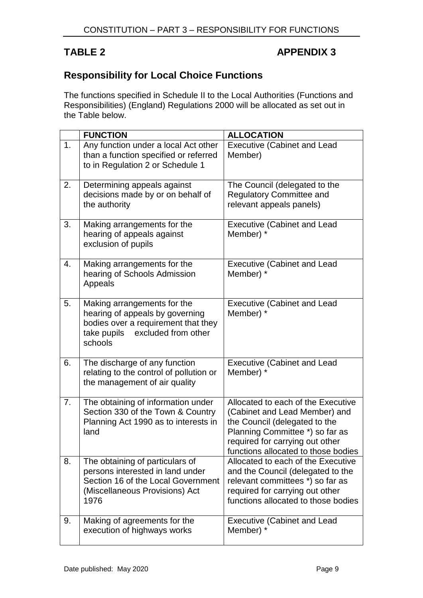## TABLE 2 **APPENDIX 3**

## **Responsibility for Local Choice Functions**

The functions specified in Schedule II to the Local Authorities (Functions and Responsibilities) (England) Regulations 2000 will be allocated as set out in the Table below.

|    | <b>FUNCTION</b>                                                                                                                                        | <b>ALLOCATION</b>                                                                                                                                                                                                 |
|----|--------------------------------------------------------------------------------------------------------------------------------------------------------|-------------------------------------------------------------------------------------------------------------------------------------------------------------------------------------------------------------------|
| 1. | Any function under a local Act other<br>than a function specified or referred<br>to in Regulation 2 or Schedule 1                                      | <b>Executive (Cabinet and Lead</b><br>Member)                                                                                                                                                                     |
| 2. | Determining appeals against<br>decisions made by or on behalf of<br>the authority                                                                      | The Council (delegated to the<br><b>Regulatory Committee and</b><br>relevant appeals panels)                                                                                                                      |
| 3. | Making arrangements for the<br>hearing of appeals against<br>exclusion of pupils                                                                       | <b>Executive (Cabinet and Lead</b><br>Member) *                                                                                                                                                                   |
| 4. | Making arrangements for the<br>hearing of Schools Admission<br>Appeals                                                                                 | <b>Executive (Cabinet and Lead</b><br>Member) *                                                                                                                                                                   |
| 5. | Making arrangements for the<br>hearing of appeals by governing<br>bodies over a requirement that they<br>excluded from other<br>take pupils<br>schools | <b>Executive (Cabinet and Lead</b><br>Member) *                                                                                                                                                                   |
| 6. | The discharge of any function<br>relating to the control of pollution or<br>the management of air quality                                              | <b>Executive (Cabinet and Lead</b><br>Member) *                                                                                                                                                                   |
| 7. | The obtaining of information under<br>Section 330 of the Town & Country<br>Planning Act 1990 as to interests in<br>land                                | Allocated to each of the Executive<br>(Cabinet and Lead Member) and<br>the Council (delegated to the<br>Planning Committee *) so far as<br>required for carrying out other<br>functions allocated to those bodies |
| 8. | The obtaining of particulars of<br>persons interested in land under<br>Section 16 of the Local Government<br>(Miscellaneous Provisions) Act<br>1976    | Allocated to each of the Executive<br>and the Council (delegated to the<br>relevant committees *) so far as<br>required for carrying out other<br>functions allocated to those bodies                             |
| 9. | Making of agreements for the<br>execution of highways works                                                                                            | <b>Executive (Cabinet and Lead</b><br>Member) *                                                                                                                                                                   |